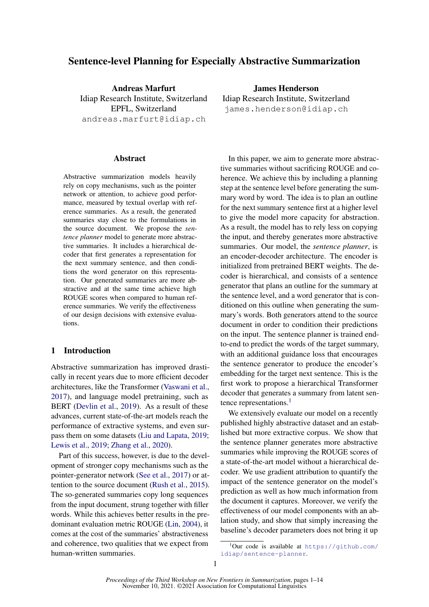# Sentence-level Planning for Especially Abstractive Summarization

Andreas Marfurt Idiap Research Institute, Switzerland EPFL, Switzerland andreas.marfurt@idiap.ch

#### Abstract

Abstractive summarization models heavily rely on copy mechanisms, such as the pointer network or attention, to achieve good performance, measured by textual overlap with reference summaries. As a result, the generated summaries stay close to the formulations in the source document. We propose the *sentence planner* model to generate more abstractive summaries. It includes a hierarchical decoder that first generates a representation for the next summary sentence, and then conditions the word generator on this representation. Our generated summaries are more abstractive and at the same time achieve high ROUGE scores when compared to human reference summaries. We verify the effectiveness of our design decisions with extensive evaluations.

## 1 Introduction

Abstractive summarization has improved drastically in recent years due to more efficient decoder architectures, like the Transformer [\(Vaswani et al.,](#page-9-0) [2017\)](#page-9-0), and language model pretraining, such as BERT [\(Devlin et al.,](#page-8-0) [2019\)](#page-8-0). As a result of these advances, current state-of-the-art models reach the performance of extractive systems, and even surpass them on some datasets [\(Liu and Lapata,](#page-9-1) [2019;](#page-9-1) [Lewis et al.,](#page-8-1) [2019;](#page-8-1) [Zhang et al.,](#page-9-2) [2020\)](#page-9-2).

Part of this success, however, is due to the development of stronger copy mechanisms such as the pointer-generator network [\(See et al.,](#page-9-3) [2017\)](#page-9-3) or attention to the source document [\(Rush et al.,](#page-9-4) [2015\)](#page-9-4). The so-generated summaries copy long sequences from the input document, strung together with filler words. While this achieves better results in the predominant evaluation metric ROUGE [\(Lin,](#page-8-2) [2004\)](#page-8-2), it comes at the cost of the summaries' abstractiveness and coherence, two qualities that we expect from human-written summaries.

James Henderson Idiap Research Institute, Switzerland james.henderson@idiap.ch

In this paper, we aim to generate more abstractive summaries without sacrificing ROUGE and coherence. We achieve this by including a planning step at the sentence level before generating the summary word by word. The idea is to plan an outline for the next summary sentence first at a higher level to give the model more capacity for abstraction. As a result, the model has to rely less on copying the input, and thereby generates more abstractive summaries. Our model, the *sentence planner*, is an encoder-decoder architecture. The encoder is initialized from pretrained BERT weights. The decoder is hierarchical, and consists of a sentence generator that plans an outline for the summary at the sentence level, and a word generator that is conditioned on this outline when generating the summary's words. Both generators attend to the source document in order to condition their predictions on the input. The sentence planner is trained endto-end to predict the words of the target summary, with an additional guidance loss that encourages the sentence generator to produce the encoder's embedding for the target next sentence. This is the first work to propose a hierarchical Transformer decoder that generates a summary from latent sen-tence representations.<sup>[1](#page-0-0)</sup>

We extensively evaluate our model on a recently published highly abstractive dataset and an established but more extractive corpus. We show that the sentence planner generates more abstractive summaries while improving the ROUGE scores of a state-of-the-art model without a hierarchical decoder. We use gradient attribution to quantify the impact of the sentence generator on the model's prediction as well as how much information from the document it captures. Moreover, we verify the effectiveness of our model components with an ablation study, and show that simply increasing the baseline's decoder parameters does not bring it up

<span id="page-0-0"></span> $1$ Our code is available at [https://github.com/](https://github.com/idiap/sentence-planner) [idiap/sentence-planner](https://github.com/idiap/sentence-planner).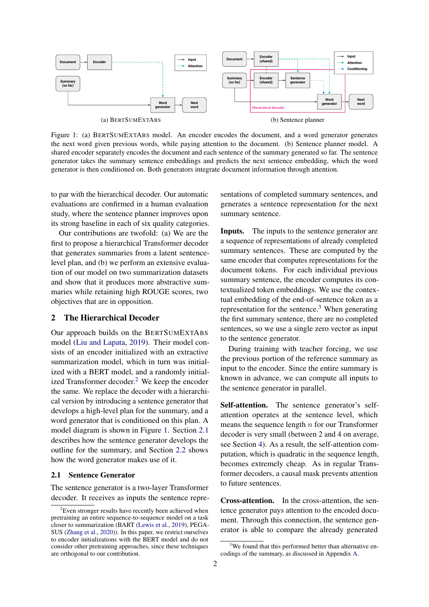<span id="page-1-1"></span>

Figure 1: (a) BERTSUMEXTABS model. An encoder encodes the document, and a word generator generates the next word given previous words, while paying attention to the document. (b) Sentence planner model. A shared encoder separately encodes the document and each sentence of the summary generated so far. The sentence generator takes the summary sentence embeddings and predicts the next sentence embedding, which the word generator is then conditioned on. Both generators integrate document information through attention.

to par with the hierarchical decoder. Our automatic evaluations are confirmed in a human evaluation study, where the sentence planner improves upon its strong baseline in each of six quality categories.

Our contributions are twofold: (a) We are the first to propose a hierarchical Transformer decoder that generates summaries from a latent sentencelevel plan, and (b) we perform an extensive evaluation of our model on two summarization datasets and show that it produces more abstractive summaries while retaining high ROUGE scores, two objectives that are in opposition.

## 2 The Hierarchical Decoder

Our approach builds on the BERTSUMEXTABS model [\(Liu and Lapata,](#page-9-1) [2019\)](#page-9-1). Their model consists of an encoder initialized with an extractive summarization model, which in turn was initialized with a BERT model, and a randomly initial-ized Transformer decoder.<sup>[2](#page-1-0)</sup> We keep the encoder the same. We replace the decoder with a hierarchical version by introducing a sentence generator that develops a high-level plan for the summary, and a word generator that is conditioned on this plan. A model diagram is shown in Figure [1.](#page-1-1) Section [2.1](#page-1-2) describes how the sentence generator develops the outline for the summary, and Section [2.2](#page-2-0) shows how the word generator makes use of it.

#### <span id="page-1-2"></span>2.1 Sentence Generator

The sentence generator is a two-layer Transformer decoder. It receives as inputs the sentence representations of completed summary sentences, and generates a sentence representation for the next summary sentence.

Inputs. The inputs to the sentence generator are a sequence of representations of already completed summary sentences. These are computed by the same encoder that computes representations for the document tokens. For each individual previous summary sentence, the encoder computes its contextualized token embeddings. We use the contextual embedding of the end-of-sentence token as a representation for the sentence.[3](#page-1-3) When generating the first summary sentence, there are no completed sentences, so we use a single zero vector as input to the sentence generator.

During training with teacher forcing, we use the previous portion of the reference summary as input to the encoder. Since the entire summary is known in advance, we can compute all inputs to the sentence generator in parallel.

Self-attention. The sentence generator's selfattention operates at the sentence level, which means the sequence length  $n$  for our Transformer decoder is very small (between 2 and 4 on average, see Section [4\)](#page-4-0). As a result, the self-attention computation, which is quadratic in the sequence length, becomes extremely cheap. As in regular Transformer decoders, a causal mask prevents attention to future sentences.

Cross-attention. In the cross-attention, the sentence generator pays attention to the encoded document. Through this connection, the sentence generator is able to compare the already generated

<span id="page-1-0"></span><sup>&</sup>lt;sup>2</sup>Even stronger results have recently been achieved when pretraining an entire sequence-to-sequence model on a task closer to summarization (BART [\(Lewis et al.,](#page-8-1) [2019\)](#page-8-1), PEGA-SUS [\(Zhang et al.,](#page-9-2) [2020\)](#page-9-2)). In this paper, we restrict ourselves to encoder initializations with the BERT model and do not consider other pretraining approaches, since these techniques are orthogonal to our contribution.

<span id="page-1-3"></span><sup>&</sup>lt;sup>3</sup>We found that this performed better than alternative encodings of the summary, as discussed in Appendix [A.](#page-10-0)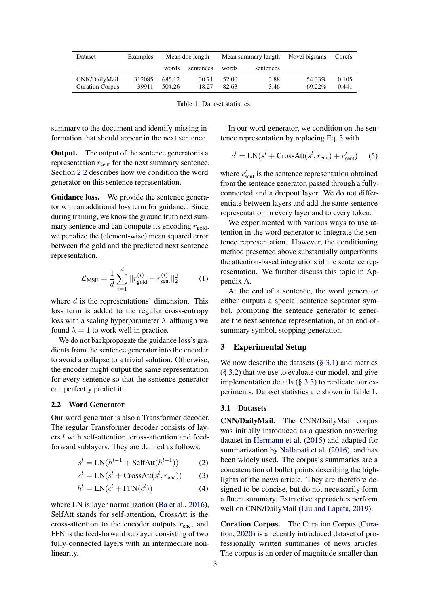<span id="page-2-3"></span>

| Dataset                                 | Examples        | Mean doc length  |                | Mean summary length |              | Novel bigrams    | Corefs         |
|-----------------------------------------|-----------------|------------------|----------------|---------------------|--------------|------------------|----------------|
|                                         |                 | words            | sentences      | words               | sentences    |                  |                |
| CNN/DailyMail<br><b>Curation Corpus</b> | 312085<br>39911 | 685.12<br>504.26 | 30.71<br>18.27 | 52.00<br>82.63      | 3.88<br>3.46 | 54.33%<br>69.22% | 0.105<br>0.441 |

Table 1: Dataset statistics.

summary to the document and identify missing information that should appear in the next sentence.

**Output.** The output of the sentence generator is a representation  $r_{\rm sent}$  for the next summary sentence. Section [2.2](#page-2-0) describes how we condition the word generator on this sentence representation.

Guidance loss. We provide the sentence generator with an additional loss term for guidance. Since during training, we know the ground truth next summary sentence and can compute its encoding  $r_{\text{gold}}$ , we penalize the (element-wise) mean squared error between the gold and the predicted next sentence representation.

$$
\mathcal{L}_{\text{MSE}} = \frac{1}{d} \sum_{i=1}^{d} ||r_{\text{gold}}^{(i)} - r_{\text{sent}}^{(i)}||_2^2 \tag{1}
$$

where  $d$  is the representations' dimension. This loss term is added to the regular cross-entropy loss with a scaling hyperparameter  $\lambda$ , although we found  $\lambda = 1$  to work well in practice.

We do not backpropagate the guidance loss's gradients from the sentence generator into the encoder to avoid a collapse to a trivial solution. Otherwise, the encoder might output the same representation for every sentence so that the sentence generator can perfectly predict it.

## <span id="page-2-0"></span>2.2 Word Generator

Our word generator is also a Transformer decoder. The regular Transformer decoder consists of layers l with self-attention, cross-attention and feedforward sublayers. They are defined as follows:

$$
sl = LN(hl-1 + SelfAtt(hl-1))
$$
 (2)

$$
c^{l} = LN(s^{l} + CrossAtt(s^{l}, r_{\text{enc}}))
$$
 (3)

$$
h^{l} = LN(c^{l} + FFN(c^{l}))
$$
\n(4)

where LN is layer normalization [\(Ba et al.,](#page-8-3) [2016\)](#page-8-3), SelfAtt stands for self-attention, CrossAtt is the cross-attention to the encoder outputs  $r_{\text{enc}}$ , and FFN is the feed-forward sublayer consisting of two fully-connected layers with an intermediate nonlinearity.

In our word generator, we condition on the sentence representation by replacing Eq. [3](#page-2-1) with

$$
c^{l} = LN(s^{l} + CrossAtt(s^{l}, r_{\text{enc}}) + r'_{\text{sent}})
$$
 (5)

where  $r'_{\text{sent}}$  is the sentence representation obtained from the sentence generator, passed through a fullyconnected and a dropout layer. We do not differentiate between layers and add the same sentence representation in every layer and to every token.

We experimented with various ways to use attention in the word generator to integrate the sentence representation. However, the conditioning method presented above substantially outperforms the attention-based integrations of the sentence representation. We further discuss this topic in Appendix [A.](#page-10-0)

At the end of a sentence, the word generator either outputs a special sentence separator symbol, prompting the sentence generator to generate the next sentence representation, or an end-ofsummary symbol, stopping generation.

### 3 Experimental Setup

We now describe the datasets  $(\S 3.1)$  $(\S 3.1)$  and metrics (§ [3.2\)](#page-3-0) that we use to evaluate our model, and give implementation details (§ [3.3\)](#page-3-1) to replicate our experiments. Dataset statistics are shown in Table [1.](#page-2-3)

#### <span id="page-2-2"></span>3.1 Datasets

<span id="page-2-1"></span>CNN/DailyMail. The CNN/DailyMail corpus was initially introduced as a question answering dataset in [Hermann et al.](#page-8-4) [\(2015\)](#page-8-4) and adapted for summarization by [Nallapati et al.](#page-9-5) [\(2016\)](#page-9-5), and has been widely used. The corpus's summaries are a concatenation of bullet points describing the highlights of the news article. They are therefore designed to be concise, but do not necessarily form a fluent summary. Extractive approaches perform well on CNN/DailyMail [\(Liu and Lapata,](#page-9-1) [2019\)](#page-9-1).

Curation Corpus. The Curation Corpus [\(Cura](#page-8-5)[tion,](#page-8-5) [2020\)](#page-8-5) is a recently introduced dataset of professionally written summaries of news articles. The corpus is an order of magnitude smaller than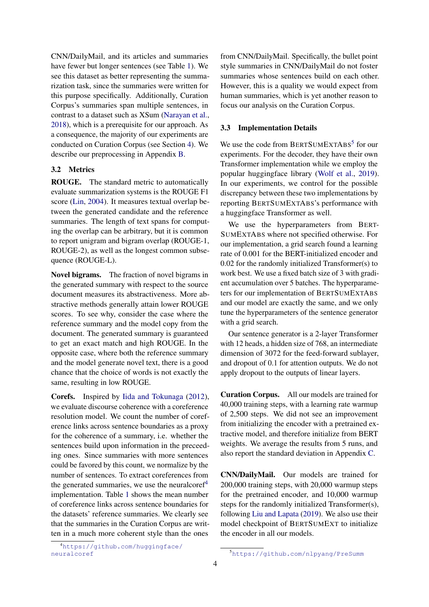CNN/DailyMail, and its articles and summaries have fewer but longer sentences (see Table [1\)](#page-2-3). We see this dataset as better representing the summarization task, since the summaries were written for this purpose specifically. Additionally, Curation Corpus's summaries span multiple sentences, in contrast to a dataset such as XSum [\(Narayan et al.,](#page-9-6) [2018\)](#page-9-6), which is a prerequisite for our approach. As a consequence, the majority of our experiments are conducted on Curation Corpus (see Section [4\)](#page-4-0). We describe our preprocessing in Appendix [B.](#page-10-1)

### <span id="page-3-0"></span>3.2 Metrics

ROUGE. The standard metric to automatically evaluate summarization systems is the ROUGE F1 score [\(Lin,](#page-8-2) [2004\)](#page-8-2). It measures textual overlap between the generated candidate and the reference summaries. The length of text spans for computing the overlap can be arbitrary, but it is common to report unigram and bigram overlap (ROUGE-1, ROUGE-2), as well as the longest common subsequence (ROUGE-L).

Novel bigrams. The fraction of novel bigrams in the generated summary with respect to the source document measures its abstractiveness. More abstractive methods generally attain lower ROUGE scores. To see why, consider the case where the reference summary and the model copy from the document. The generated summary is guaranteed to get an exact match and high ROUGE. In the opposite case, where both the reference summary and the model generate novel text, there is a good chance that the choice of words is not exactly the same, resulting in low ROUGE.

Corefs. Inspired by [Iida and Tokunaga](#page-8-6) [\(2012\)](#page-8-6), we evaluate discourse coherence with a coreference resolution model. We count the number of coreference links across sentence boundaries as a proxy for the coherence of a summary, i.e. whether the sentences build upon information in the preceeding ones. Since summaries with more sentences could be favored by this count, we normalize by the number of sentences. To extract coreferences from the generated summaries, we use the neuralcoref<sup>[4](#page-3-2)</sup> implementation. Table [1](#page-2-3) shows the mean number of coreference links across sentence boundaries for the datasets' reference summaries. We clearly see that the summaries in the Curation Corpus are written in a much more coherent style than the ones

from CNN/DailyMail. Specifically, the bullet point style summaries in CNN/DailyMail do not foster summaries whose sentences build on each other. However, this is a quality we would expect from human summaries, which is yet another reason to focus our analysis on the Curation Corpus.

### <span id="page-3-1"></span>3.3 Implementation Details

We use the code from BERTSUMEXTABS<sup>[5](#page-3-3)</sup> for our experiments. For the decoder, they have their own Transformer implementation while we employ the popular huggingface library [\(Wolf et al.,](#page-9-7) [2019\)](#page-9-7). In our experiments, we control for the possible discrepancy between these two implementations by reporting BERTSUMEXTABS's performance with a huggingface Transformer as well.

We use the hyperparameters from BERT-SUMEXTABS where not specified otherwise. For our implementation, a grid search found a learning rate of 0.001 for the BERT-initialized encoder and 0.02 for the randomly initialized Transformer(s) to work best. We use a fixed batch size of 3 with gradient accumulation over 5 batches. The hyperparameters for our implementation of BERTSUMEXTABS and our model are exactly the same, and we only tune the hyperparameters of the sentence generator with a grid search.

Our sentence generator is a 2-layer Transformer with 12 heads, a hidden size of 768, an intermediate dimension of 3072 for the feed-forward sublayer, and dropout of 0.1 for attention outputs. We do not apply dropout to the outputs of linear layers.

Curation Corpus. All our models are trained for 40,000 training steps, with a learning rate warmup of 2,500 steps. We did not see an improvement from initializing the encoder with a pretrained extractive model, and therefore initialize from BERT weights. We average the results from 5 runs, and also report the standard deviation in Appendix [C.](#page-11-0)

CNN/DailyMail. Our models are trained for 200,000 training steps, with 20,000 warmup steps for the pretrained encoder, and 10,000 warmup steps for the randomly initialized Transformer(s), following [Liu and Lapata](#page-9-1) [\(2019\)](#page-9-1). We also use their model checkpoint of BERTSUMEXT to initialize the encoder in all our models.

<span id="page-3-2"></span><sup>4</sup>[https://github.com/huggingface/](https://github.com/huggingface/neuralcoref) [neuralcoref](https://github.com/huggingface/neuralcoref)

<span id="page-3-3"></span><sup>5</sup><https://github.com/nlpyang/PreSumm>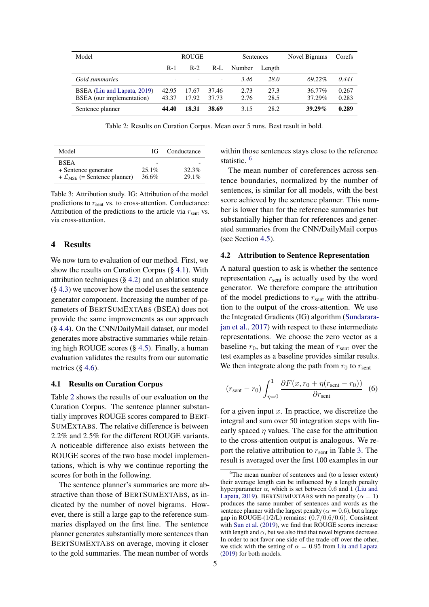<span id="page-4-3"></span>

| Model                                                    |                          | <b>ROUGE</b>   |                          | Sentences    |              | Novel Bigrams    | Corefs         |
|----------------------------------------------------------|--------------------------|----------------|--------------------------|--------------|--------------|------------------|----------------|
|                                                          | $R-1$                    | $R-2$          | $R-L$                    | Number       | Length       |                  |                |
| Gold summaries                                           | $\overline{\phantom{0}}$ |                | $\overline{\phantom{a}}$ | 3.46         | 28.0         | 69.22%           | 0.441          |
| BSEA (Liu and Lapata, 2019)<br>BSEA (our implementation) | 42.95<br>43.37           | 17.67<br>17.92 | 37.46<br>37.73           | 2.73<br>2.76 | 27.3<br>28.5 | 36.77%<br>37.29% | 0.267<br>0.283 |
| Sentence planner                                         | 44.40                    | 18.31          | 38.69                    | 3.15         | 28.2         | $39.29\%$        | 0.289          |

Table 2: Results on Curation Corpus. Mean over 5 runs. Best result in bold.

<span id="page-4-5"></span>

| Model                                      | IG       | Conductance |
|--------------------------------------------|----------|-------------|
| <b>BSEA</b>                                |          |             |
| + Sentence generator                       | $25.1\%$ | 32.3%       |
| + $\mathcal{L}_{MSE}$ (= Sentence planner) | 36.6%    | $29.1\%$    |

Table 3: Attribution study. IG: Attribution of the model predictions to  $r_{sent}$  vs. to cross-attention. Conductance: Attribution of the predictions to the article via  $r_{\rm sent}$  vs. via cross-attention.

#### <span id="page-4-0"></span>4 Results

We now turn to evaluation of our method. First, we show the results on Curation Corpus (§ [4.1\)](#page-4-1). With attribution techniques  $(\S 4.2)$  $(\S 4.2)$  and an ablation study (§ [4.3\)](#page-5-0) we uncover how the model uses the sentence generator component. Increasing the number of parameters of BERTSUMEXTABS (BSEA) does not provide the same improvements as our approach (§ [4.4\)](#page-5-1). On the CNN/DailyMail dataset, our model generates more abstractive summaries while retaining high ROUGE scores (§ [4.5\)](#page-5-2). Finally, a human evaluation validates the results from our automatic metrics  $(\S$  [4.6\)](#page-6-0).

#### <span id="page-4-1"></span>4.1 Results on Curation Corpus

Table [2](#page-4-3) shows the results of our evaluation on the Curation Corpus. The sentence planner substantially improves ROUGE scores compared to BERT-SUMEXTABS. The relative difference is between 2.2% and 2.5% for the different ROUGE variants. A noticeable difference also exists between the ROUGE scores of the two base model implementations, which is why we continue reporting the scores for both in the following.

The sentence planner's summaries are more abstractive than those of BERTSUMEXTABS, as indicated by the number of novel bigrams. However, there is still a large gap to the reference summaries displayed on the first line. The sentence planner generates substantially more sentences than BERTSUMEXTABS on average, moving it closer to the gold summaries. The mean number of words

within those sentences stays close to the reference statistic. [6](#page-4-4)

The mean number of coreferences across sentence boundaries, normalized by the number of sentences, is similar for all models, with the best score achieved by the sentence planner. This number is lower than for the reference summaries but substantially higher than for references and generated summaries from the CNN/DailyMail corpus (see Section [4.5\)](#page-5-2).

#### <span id="page-4-2"></span>4.2 Attribution to Sentence Representation

A natural question to ask is whether the sentence representation  $r_{\text{sent}}$  is actually used by the word generator. We therefore compare the attribution of the model predictions to  $r_{sent}$  with the attribution to the output of the cross-attention. We use the Integrated Gradients (IG) algorithm [\(Sundarara](#page-9-8)[jan et al.,](#page-9-8) [2017\)](#page-9-8) with respect to these intermediate representations. We choose the zero vector as a baseline  $r_0$ , but taking the mean of  $r_{sent}$  over the test examples as a baseline provides similar results. We then integrate along the path from  $r_0$  to  $r_{sent}$ 

$$
(r_{\text{sent}} - r_0) \int_{\eta=0}^{1} \frac{\partial F(x, r_0 + \eta(r_{\text{sent}} - r_0))}{\partial r_{\text{sent}}}
$$
 (6)

for a given input  $x$ . In practice, we discretize the integral and sum over 50 integration steps with linearly spaced  $\eta$  values. The case for the attribution to the cross-attention output is analogous. We report the relative attribution to  $r_{\text{sent}}$  in Table [3.](#page-4-5) The result is averaged over the first 100 examples in our

<span id="page-4-4"></span><sup>&</sup>lt;sup>6</sup>The mean number of sentences and (to a lesser extent) their average length can be influenced by a length penalty hyperparameter  $\alpha$ , which is set between 0.6 and 1 [\(Liu and](#page-9-1) [Lapata,](#page-9-1) [2019\)](#page-9-1). BERTSUMEXTABS with no penalty ( $\alpha = 1$ ) produces the same number of sentences and words as the sentence planner with the largest penalty ( $\alpha = 0.6$ ), but a large gap in ROUGE- $(1/2/L)$  remains:  $(0.7/0.6/0.6)$ . Consistent with [Sun et al.](#page-9-9) [\(2019\)](#page-9-9), we find that ROUGE scores increase with length and  $\alpha$ , but we also find that novel bigrams decrease. In order to not favor one side of the trade-off over the other, we stick with the setting of  $\alpha = 0.95$  from [Liu and Lapata](#page-9-1) [\(2019\)](#page-9-1) for both models.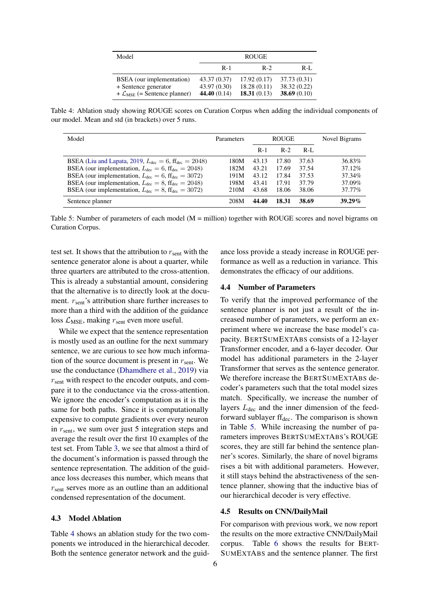<span id="page-5-3"></span>

| Model                                                                                           | <b>ROUGE</b>                                   |                                           |                                                |  |  |
|-------------------------------------------------------------------------------------------------|------------------------------------------------|-------------------------------------------|------------------------------------------------|--|--|
|                                                                                                 | $R-1$                                          | $R-2$                                     | $R-I.$                                         |  |  |
| BSEA (our implementation)<br>+ Sentence generator<br>+ $\mathcal{L}_{MSE}$ (= Sentence planner) | 43.37 (0.37)<br>43.97 (0.30)<br>44.40 $(0.14)$ | 17.92(0.17)<br>18.28(0.11)<br>18.31(0.13) | 37.73 (0.31)<br>38.32 (0.22)<br>38.69 $(0.10)$ |  |  |

Table 4: Ablation study showing ROUGE scores on Curation Corpus when adding the individual components of our model. Mean and std (in brackets) over 5 runs.

<span id="page-5-4"></span>

| Model                                                                                                                                                                                                                                            | Parameters           | <b>ROUGE</b>            |                         | Novel Bigrams           |                            |
|--------------------------------------------------------------------------------------------------------------------------------------------------------------------------------------------------------------------------------------------------|----------------------|-------------------------|-------------------------|-------------------------|----------------------------|
|                                                                                                                                                                                                                                                  |                      | $R-1$                   | $R-2$                   | $R-I.$                  |                            |
| BSEA (Liu and Lapata, 2019, $L_{\text{dec}} = 6$ , $\text{ff}_{\text{dec}} = 2048$ )<br>BSEA (our implementation, $L_{\text{dec}} = 6$ , ff <sub>dec</sub> = 2048)<br>BSEA (our implementation, $L_{\text{dec}} = 6$ , ff <sub>dec</sub> = 3072) | 180M<br>182M<br>191M | 43.13<br>43.21<br>43.12 | 17.80<br>17.69<br>17.84 | 37.63<br>37.54<br>37.53 | 36.83%<br>37.12%<br>37.34% |
| BSEA (our implementation, $L_{\text{dec}} = 8$ , ff <sub>dec</sub> = 2048)<br>BSEA (our implementation, $L_{\text{dec}} = 8$ , ff <sub>dec</sub> = 3072)                                                                                         | 198M<br>210M         | 43.41<br>43.68          | 17.91<br>18.06          | 37.79<br>38.06          | 37.09%<br>37.77%           |
| Sentence planner                                                                                                                                                                                                                                 | 208M                 | 44.40                   | 18.31                   | 38.69                   | 39.29%                     |

Table 5: Number of parameters of each model (M = million) together with ROUGE scores and novel bigrams on Curation Corpus.

test set. It shows that the attribution to  $r_{\text{sent}}$  with the sentence generator alone is about a quarter, while three quarters are attributed to the cross-attention. This is already a substantial amount, considering that the alternative is to directly look at the document.  $r_{\rm sent}$ 's attribution share further increases to more than a third with the addition of the guidance loss  $\mathcal{L}_{MSE}$ , making  $r_{sent}$  even more useful.

While we expect that the sentence representation is mostly used as an outline for the next summary sentence, we are curious to see how much information of the source document is present in  $r_{\text{sent}}$ . We use the conductance [\(Dhamdhere et al.,](#page-8-7) [2019\)](#page-8-7) via  $r_{\rm sent}$  with respect to the encoder outputs, and compare it to the conductance via the cross-attention. We ignore the encoder's computation as it is the same for both paths. Since it is computationally expensive to compute gradients over every neuron in  $r_{\text{sent}}$ , we sum over just 5 integration steps and average the result over the first 10 examples of the test set. From Table [3,](#page-4-5) we see that almost a third of the document's information is passed through the sentence representation. The addition of the guidance loss decreases this number, which means that  $r<sub>sent</sub>$  serves more as an outline than an additional condensed representation of the document.

### <span id="page-5-0"></span>4.3 Model Ablation

Table [4](#page-5-3) shows an ablation study for the two components we introduced in the hierarchical decoder. Both the sentence generator network and the guidance loss provide a steady increase in ROUGE performance as well as a reduction in variance. This demonstrates the efficacy of our additions.

#### <span id="page-5-1"></span>4.4 Number of Parameters

To verify that the improved performance of the sentence planner is not just a result of the increased number of parameters, we perform an experiment where we increase the base model's capacity. BERTSUMEXTABS consists of a 12-layer Transformer encoder, and a 6-layer decoder. Our model has additional parameters in the 2-layer Transformer that serves as the sentence generator. We therefore increase the BERTSUMEXTABS decoder's parameters such that the total model sizes match. Specifically, we increase the number of layers  $L_{\text{dec}}$  and the inner dimension of the feedforward sublayer  $\text{ff}_{\text{dec}}$ . The comparison is shown in Table [5.](#page-5-4) While increasing the number of parameters improves BERTSUMEXTABS's ROUGE scores, they are still far behind the sentence planner's scores. Similarly, the share of novel bigrams rises a bit with additional parameters. However, it still stays behind the abstractiveness of the sentence planner, showing that the inductive bias of our hierarchical decoder is very effective.

#### <span id="page-5-2"></span>4.5 Results on CNN/DailyMail

For comparison with previous work, we now report the results on the more extractive CNN/DailyMail corpus. Table [6](#page-6-1) shows the results for BERT-SUMEXTABS and the sentence planner. The first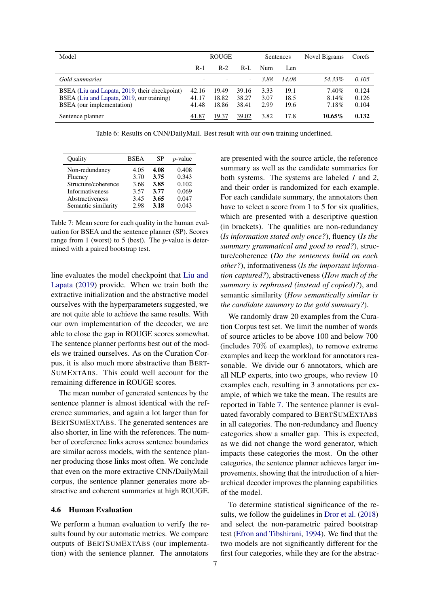<span id="page-6-1"></span>

| Model                                                                                                                   |                         | <b>ROUGE</b>            |                         | Sentences            |                      | Novel Bigrams           | Corefs                  |
|-------------------------------------------------------------------------------------------------------------------------|-------------------------|-------------------------|-------------------------|----------------------|----------------------|-------------------------|-------------------------|
|                                                                                                                         | $R-1$                   | $R-2$                   | $R-I$ .                 | Num                  | Len                  |                         |                         |
| Gold summaries                                                                                                          |                         |                         |                         | 3.88                 | 14.08                | 54.33%                  | 0.105                   |
| BSEA (Liu and Lapata, 2019, their checkpoint)<br>BSEA (Liu and Lapata, 2019, our training)<br>BSEA (our implementation) | 42.16<br>41.17<br>41.48 | 19.49<br>18.82<br>18.86 | 39.16<br>38.27<br>38.41 | 3.33<br>3.07<br>2.99 | 19.1<br>18.5<br>19.6 | 7.40%<br>8.14%<br>7.18% | 0.124<br>0.126<br>0.104 |
| Sentence planner                                                                                                        | 41.87                   | 19.37                   | 39.02                   | 3.82                 | 17.8                 | $10.65\%$               | 0.132                   |

Table 6: Results on CNN/DailyMail. Best result with our own training underlined.

<span id="page-6-2"></span>

| Ouality                | <b>BSEA</b> | SP   | $p$ -value |
|------------------------|-------------|------|------------|
| Non-redundancy         | 4.05        | 4.08 | 0.408      |
| Fluency                | 3.70        | 3.75 | 0.343      |
| Structure/coherence    | 3.68        | 3.85 | 0.102      |
| <b>Informativeness</b> | 3.57        | 3.77 | 0.069      |
| Abstractiveness        | 3.45        | 3.65 | 0.047      |
| Semantic similarity    | 2.98        | 3.18 | 0.043      |

Table 7: Mean score for each quality in the human evaluation for BSEA and the sentence planner (SP). Scores range from 1 (worst) to 5 (best). The  $p$ -value is determined with a paired bootstrap test.

line evaluates the model checkpoint that [Liu and](#page-9-1) [Lapata](#page-9-1) [\(2019\)](#page-9-1) provide. When we train both the extractive initialization and the abstractive model ourselves with the hyperparameters suggested, we are not quite able to achieve the same results. With our own implementation of the decoder, we are able to close the gap in ROUGE scores somewhat. The sentence planner performs best out of the models we trained ourselves. As on the Curation Corpus, it is also much more abstractive than BERT-SUMEXTABS. This could well account for the remaining difference in ROUGE scores.

The mean number of generated sentences by the sentence planner is almost identical with the reference summaries, and again a lot larger than for BERTSUMEXTABS. The generated sentences are also shorter, in line with the references. The number of coreference links across sentence boundaries are similar across models, with the sentence planner producing those links most often. We conclude that even on the more extractive CNN/DailyMail corpus, the sentence planner generates more abstractive and coherent summaries at high ROUGE.

### <span id="page-6-0"></span>4.6 Human Evaluation

We perform a human evaluation to verify the results found by our automatic metrics. We compare outputs of BERTSUMEXTABS (our implementation) with the sentence planner. The annotators

are presented with the source article, the reference summary as well as the candidate summaries for both systems. The systems are labeled *1* and *2*, and their order is randomized for each example. For each candidate summary, the annotators then have to select a score from 1 to 5 for six qualities, which are presented with a descriptive question (in brackets). The qualities are non-redundancy (*Is information stated only once?*), fluency (*Is the summary grammatical and good to read?*), structure/coherence (*Do the sentences build on each other?*), informativeness (*Is the important information captured?*), abstractiveness (*How much of the summary is rephrased (instead of copied)?*), and semantic similarity (*How semantically similar is the candidate summary to the gold summary?*).

We randomly draw 20 examples from the Curation Corpus test set. We limit the number of words of source articles to be above 100 and below 700 (includes  $70\%$  of examples), to remove extreme examples and keep the workload for annotators reasonable. We divide our 6 annotators, which are all NLP experts, into two groups, who review 10 examples each, resulting in 3 annotations per example, of which we take the mean. The results are reported in Table [7.](#page-6-2) The sentence planner is evaluated favorably compared to BERTSUMEXTABS in all categories. The non-redundancy and fluency categories show a smaller gap. This is expected, as we did not change the word generator, which impacts these categories the most. On the other categories, the sentence planner achieves larger improvements, showing that the introduction of a hierarchical decoder improves the planning capabilities of the model.

To determine statistical significance of the results, we follow the guidelines in [Dror et al.](#page-8-8) [\(2018\)](#page-8-8) and select the non-parametric paired bootstrap test [\(Efron and Tibshirani,](#page-8-9) [1994\)](#page-8-9). We find that the two models are not significantly different for the first four categories, while they are for the abstrac-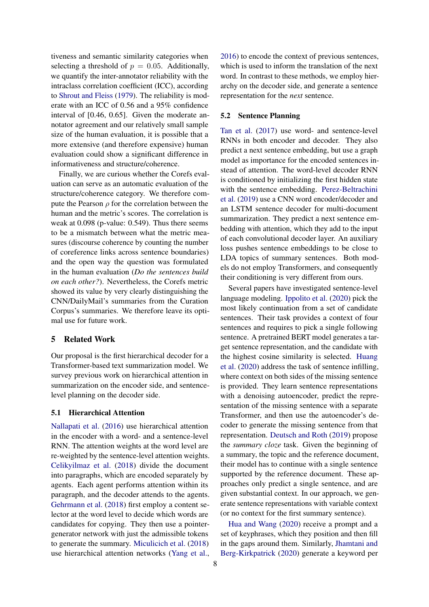tiveness and semantic similarity categories when selecting a threshold of  $p = 0.05$ . Additionally, we quantify the inter-annotator reliability with the intraclass correlation coefficient (ICC), according to [Shrout and Fleiss](#page-9-10) [\(1979\)](#page-9-10). The reliability is moderate with an ICC of 0.56 and a 95% confidence interval of [0.46, 0.65]. Given the moderate annotator agreement and our relatively small sample size of the human evaluation, it is possible that a more extensive (and therefore expensive) human evaluation could show a significant difference in informativeness and structure/coherence.

Finally, we are curious whether the Corefs evaluation can serve as an automatic evaluation of the structure/coherence category. We therefore compute the Pearson  $\rho$  for the correlation between the human and the metric's scores. The correlation is weak at 0.098 (p-value: 0.549). Thus there seems to be a mismatch between what the metric measures (discourse coherence by counting the number of coreference links across sentence boundaries) and the open way the question was formulated in the human evaluation (*Do the sentences build on each other?*). Nevertheless, the Corefs metric showed its value by very clearly distinguishing the CNN/DailyMail's summaries from the Curation Corpus's summaries. We therefore leave its optimal use for future work.

#### 5 Related Work

Our proposal is the first hierarchical decoder for a Transformer-based text summarization model. We survey previous work on hierarchical attention in summarization on the encoder side, and sentencelevel planning on the decoder side.

#### 5.1 Hierarchical Attention

[Nallapati et al.](#page-9-5) [\(2016\)](#page-9-5) use hierarchical attention in the encoder with a word- and a sentence-level RNN. The attention weights at the word level are re-weighted by the sentence-level attention weights. [Celikyilmaz et al.](#page-8-10) [\(2018\)](#page-8-10) divide the document into paragraphs, which are encoded separately by agents. Each agent performs attention within its paragraph, and the decoder attends to the agents. [Gehrmann et al.](#page-8-11) [\(2018\)](#page-8-11) first employ a content selector at the word level to decide which words are candidates for copying. They then use a pointergenerator network with just the admissible tokens to generate the summary. [Miculicich et al.](#page-9-11) [\(2018\)](#page-9-11) use hierarchical attention networks [\(Yang et al.,](#page-9-12)

[2016\)](#page-9-12) to encode the context of previous sentences, which is used to inform the translation of the next word. In contrast to these methods, we employ hierarchy on the decoder side, and generate a sentence representation for the *next* sentence.

### 5.2 Sentence Planning

[Tan et al.](#page-9-13) [\(2017\)](#page-9-13) use word- and sentence-level RNNs in both encoder and decoder. They also predict a next sentence embedding, but use a graph model as importance for the encoded sentences instead of attention. The word-level decoder RNN is conditioned by initializing the first hidden state with the sentence embedding. [Perez-Beltrachini](#page-9-14) [et al.](#page-9-14) [\(2019\)](#page-9-14) use a CNN word encoder/decoder and an LSTM sentence decoder for multi-document summarization. They predict a next sentence embedding with attention, which they add to the input of each convolutional decoder layer. An auxiliary loss pushes sentence embeddings to be close to LDA topics of summary sentences. Both models do not employ Transformers, and consequently their conditioning is very different from ours.

Several papers have investigated sentence-level language modeling. [Ippolito et al.](#page-8-12) [\(2020\)](#page-8-12) pick the most likely continuation from a set of candidate sentences. Their task provides a context of four sentences and requires to pick a single following sentence. A pretrained BERT model generates a target sentence representation, and the candidate with the highest cosine similarity is selected. [Huang](#page-8-13) [et al.](#page-8-13) [\(2020\)](#page-8-13) address the task of sentence infilling, where context on both sides of the missing sentence is provided. They learn sentence representations with a denoising autoencoder, predict the representation of the missing sentence with a separate Transformer, and then use the autoencoder's decoder to generate the missing sentence from that representation. [Deutsch and Roth](#page-8-14) [\(2019\)](#page-8-14) propose the *summary cloze* task. Given the beginning of a summary, the topic and the reference document, their model has to continue with a single sentence supported by the reference document. These approaches only predict a single sentence, and are given substantial context. In our approach, we generate sentence representations with variable context (or no context for the first summary sentence).

[Hua and Wang](#page-8-15) [\(2020\)](#page-8-15) receive a prompt and a set of keyphrases, which they position and then fill in the gaps around them. Similarly, [Jhamtani and](#page-8-16) [Berg-Kirkpatrick](#page-8-16) [\(2020\)](#page-8-16) generate a keyword per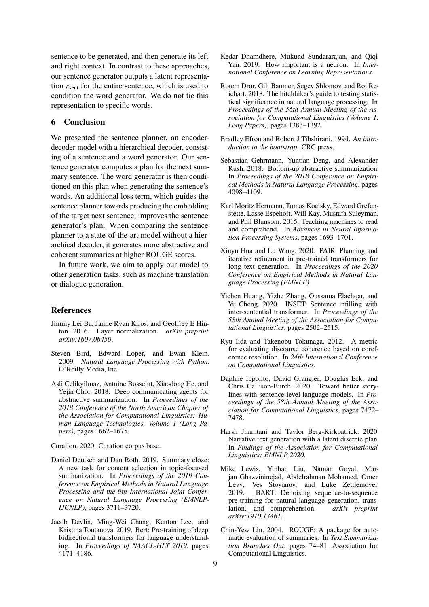sentence to be generated, and then generate its left and right context. In contrast to these approaches, our sentence generator outputs a latent representation  $r_{\text{sent}}$  for the entire sentence, which is used to condition the word generator. We do not tie this representation to specific words.

## 6 Conclusion

We presented the sentence planner, an encoderdecoder model with a hierarchical decoder, consisting of a sentence and a word generator. Our sentence generator computes a plan for the next summary sentence. The word generator is then conditioned on this plan when generating the sentence's words. An additional loss term, which guides the sentence planner towards producing the embedding of the target next sentence, improves the sentence generator's plan. When comparing the sentence planner to a state-of-the-art model without a hierarchical decoder, it generates more abstractive and coherent summaries at higher ROUGE scores.

In future work, we aim to apply our model to other generation tasks, such as machine translation or dialogue generation.

### References

- <span id="page-8-3"></span>Jimmy Lei Ba, Jamie Ryan Kiros, and Geoffrey E Hinton. 2016. Layer normalization. *arXiv preprint arXiv:1607.06450*.
- <span id="page-8-17"></span>Steven Bird, Edward Loper, and Ewan Klein. 2009. *Natural Language Processing with Python*. O'Reilly Media, Inc.
- <span id="page-8-10"></span>Asli Celikyilmaz, Antoine Bosselut, Xiaodong He, and Yejin Choi. 2018. Deep communicating agents for abstractive summarization. In *Proceedings of the 2018 Conference of the North American Chapter of the Association for Computational Linguistics: Human Language Technologies, Volume 1 (Long Papers)*, pages 1662–1675.

<span id="page-8-5"></span>Curation. 2020. Curation corpus base.

- <span id="page-8-14"></span>Daniel Deutsch and Dan Roth. 2019. Summary cloze: A new task for content selection in topic-focused summarization. In *Proceedings of the 2019 Conference on Empirical Methods in Natural Language Processing and the 9th International Joint Conference on Natural Language Processing (EMNLP-IJCNLP)*, pages 3711–3720.
- <span id="page-8-0"></span>Jacob Devlin, Ming-Wei Chang, Kenton Lee, and Kristina Toutanova. 2019. Bert: Pre-training of deep bidirectional transformers for language understanding. In *Proceedings of NAACL-HLT 2019*, pages 4171–4186.
- <span id="page-8-7"></span>Kedar Dhamdhere, Mukund Sundararajan, and Qiqi Yan. 2019. How important is a neuron. In *International Conference on Learning Representations*.
- <span id="page-8-8"></span>Rotem Dror, Gili Baumer, Segev Shlomov, and Roi Reichart. 2018. The hitchhiker's guide to testing statistical significance in natural language processing. In *Proceedings of the 56th Annual Meeting of the Association for Computational Linguistics (Volume 1: Long Papers)*, pages 1383–1392.
- <span id="page-8-9"></span>Bradley Efron and Robert J Tibshirani. 1994. *An introduction to the bootstrap*. CRC press.
- <span id="page-8-11"></span>Sebastian Gehrmann, Yuntian Deng, and Alexander Rush. 2018. Bottom-up abstractive summarization. In *Proceedings of the 2018 Conference on Empirical Methods in Natural Language Processing*, pages 4098–4109.
- <span id="page-8-4"></span>Karl Moritz Hermann, Tomas Kocisky, Edward Grefenstette, Lasse Espeholt, Will Kay, Mustafa Suleyman, and Phil Blunsom. 2015. Teaching machines to read and comprehend. In *Advances in Neural Information Processing Systems*, pages 1693–1701.
- <span id="page-8-15"></span>Xinyu Hua and Lu Wang. 2020. PAIR: Planning and iterative refinement in pre-trained transformers for long text generation. In *Proceedings of the 2020 Conference on Empirical Methods in Natural Language Processing (EMNLP)*.
- <span id="page-8-13"></span>Yichen Huang, Yizhe Zhang, Oussama Elachqar, and Yu Cheng. 2020. INSET: Sentence infilling with inter-sentential transformer. In *Proceedings of the 58th Annual Meeting of the Association for Computational Linguistics*, pages 2502–2515.
- <span id="page-8-6"></span>Ryu Iida and Takenobu Tokunaga. 2012. A metric for evaluating discourse coherence based on coreference resolution. In *24th International Conference on Computational Linguistics*.
- <span id="page-8-12"></span>Daphne Ippolito, David Grangier, Douglas Eck, and Chris Callison-Burch. 2020. Toward better storylines with sentence-level language models. In *Proceedings of the 58th Annual Meeting of the Association for Computational Linguistics*, pages 7472– 7478.
- <span id="page-8-16"></span>Harsh Jhamtani and Taylor Berg-Kirkpatrick. 2020. Narrative text generation with a latent discrete plan. In *Findings of the Association for Computational Linguistics: EMNLP 2020*.
- <span id="page-8-1"></span>Mike Lewis, Yinhan Liu, Naman Goyal, Marjan Ghazvininejad, Abdelrahman Mohamed, Omer Levy, Ves Stoyanov, and Luke Zettlemoyer. 2019. BART: Denoising sequence-to-sequence pre-training for natural language generation, translation, and comprehension. *arXiv preprint arXiv:1910.13461*.
- <span id="page-8-2"></span>Chin-Yew Lin. 2004. ROUGE: A package for automatic evaluation of summaries. In *Text Summarization Branches Out*, pages 74–81. Association for Computational Linguistics.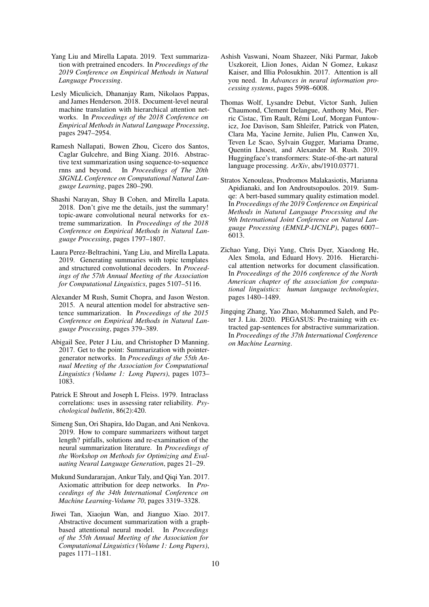- <span id="page-9-1"></span>Yang Liu and Mirella Lapata. 2019. Text summarization with pretrained encoders. In *Proceedings of the 2019 Conference on Empirical Methods in Natural Language Processing*.
- <span id="page-9-11"></span>Lesly Miculicich, Dhananjay Ram, Nikolaos Pappas, and James Henderson. 2018. Document-level neural machine translation with hierarchical attention networks. In *Proceedings of the 2018 Conference on Empirical Methods in Natural Language Processing*, pages 2947–2954.
- <span id="page-9-5"></span>Ramesh Nallapati, Bowen Zhou, Cicero dos Santos, Caglar Gulcehre, and Bing Xiang. 2016. Abstractive text summarization using sequence-to-sequence rnns and beyond. In *Proceedings of The 20th SIGNLL Conference on Computational Natural Language Learning*, pages 280–290.
- <span id="page-9-6"></span>Shashi Narayan, Shay B Cohen, and Mirella Lapata. 2018. Don't give me the details, just the summary! topic-aware convolutional neural networks for extreme summarization. In *Proceedings of the 2018 Conference on Empirical Methods in Natural Language Processing*, pages 1797–1807.
- <span id="page-9-14"></span>Laura Perez-Beltrachini, Yang Liu, and Mirella Lapata. 2019. Generating summaries with topic templates and structured convolutional decoders. In *Proceedings of the 57th Annual Meeting of the Association for Computational Linguistics*, pages 5107–5116.
- <span id="page-9-4"></span>Alexander M Rush, Sumit Chopra, and Jason Weston. 2015. A neural attention model for abstractive sentence summarization. In *Proceedings of the 2015 Conference on Empirical Methods in Natural Language Processing*, pages 379–389.
- <span id="page-9-3"></span>Abigail See, Peter J Liu, and Christopher D Manning. 2017. Get to the point: Summarization with pointergenerator networks. In *Proceedings of the 55th Annual Meeting of the Association for Computational Linguistics (Volume 1: Long Papers)*, pages 1073– 1083.
- <span id="page-9-10"></span>Patrick E Shrout and Joseph L Fleiss. 1979. Intraclass correlations: uses in assessing rater reliability. *Psychological bulletin*, 86(2):420.
- <span id="page-9-9"></span>Simeng Sun, Ori Shapira, Ido Dagan, and Ani Nenkova. 2019. How to compare summarizers without target length? pitfalls, solutions and re-examination of the neural summarization literature. In *Proceedings of the Workshop on Methods for Optimizing and Evaluating Neural Language Generation*, pages 21–29.
- <span id="page-9-8"></span>Mukund Sundararajan, Ankur Taly, and Qiqi Yan. 2017. Axiomatic attribution for deep networks. In *Proceedings of the 34th International Conference on Machine Learning-Volume 70*, pages 3319–3328.
- <span id="page-9-13"></span>Jiwei Tan, Xiaojun Wan, and Jianguo Xiao. 2017. Abstractive document summarization with a graphbased attentional neural model. In *Proceedings of the 55th Annual Meeting of the Association for Computational Linguistics (Volume 1: Long Papers)*, pages 1171–1181.
- <span id="page-9-0"></span>Ashish Vaswani, Noam Shazeer, Niki Parmar, Jakob Uszkoreit, Llion Jones, Aidan N Gomez, Łukasz Kaiser, and Illia Polosukhin. 2017. Attention is all you need. In *Advances in neural information processing systems*, pages 5998–6008.
- <span id="page-9-7"></span>Thomas Wolf, Lysandre Debut, Victor Sanh, Julien Chaumond, Clement Delangue, Anthony Moi, Pierric Cistac, Tim Rault, Rémi Louf, Morgan Funtowicz, Joe Davison, Sam Shleifer, Patrick von Platen, Clara Ma, Yacine Jernite, Julien Plu, Canwen Xu, Teven Le Scao, Sylvain Gugger, Mariama Drame, Quentin Lhoest, and Alexander M. Rush. 2019. Huggingface's transformers: State-of-the-art natural language processing. *ArXiv*, abs/1910.03771.
- <span id="page-9-15"></span>Stratos Xenouleas, Prodromos Malakasiotis, Marianna Apidianaki, and Ion Androutsopoulos. 2019. Sumqe: A bert-based summary quality estimation model. In *Proceedings of the 2019 Conference on Empirical Methods in Natural Language Processing and the 9th International Joint Conference on Natural Language Processing (EMNLP-IJCNLP)*, pages 6007– 6013.
- <span id="page-9-12"></span>Zichao Yang, Diyi Yang, Chris Dyer, Xiaodong He, Alex Smola, and Eduard Hovy. 2016. Hierarchical attention networks for document classification. In *Proceedings of the 2016 conference of the North American chapter of the association for computational linguistics: human language technologies*, pages 1480–1489.
- <span id="page-9-2"></span>Jingqing Zhang, Yao Zhao, Mohammed Saleh, and Peter J. Liu. 2020. PEGASUS: Pre-training with extracted gap-sentences for abstractive summarization. In *Proceedings of the 37th International Conference on Machine Learning*.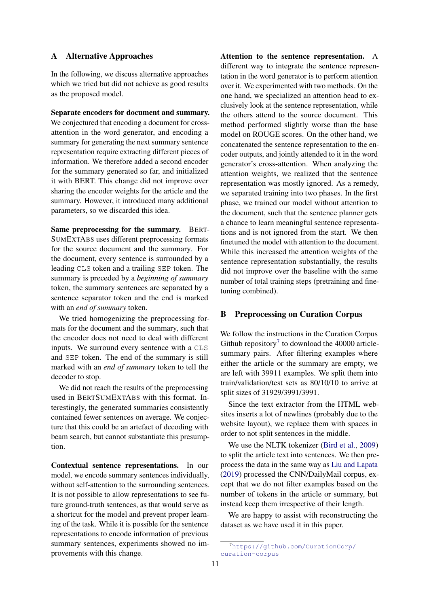## <span id="page-10-0"></span>A Alternative Approaches

In the following, we discuss alternative approaches which we tried but did not achieve as good results as the proposed model.

Separate encoders for document and summary. We conjectured that encoding a document for crossattention in the word generator, and encoding a summary for generating the next summary sentence representation require extracting different pieces of information. We therefore added a second encoder for the summary generated so far, and initialized it with BERT. This change did not improve over sharing the encoder weights for the article and the summary. However, it introduced many additional parameters, so we discarded this idea.

Same preprocessing for the summary. BERT-SUMEXTABS uses different preprocessing formats for the source document and the summary. For the document, every sentence is surrounded by a leading CLS token and a trailing SEP token. The summary is preceded by a *beginning of summary* token, the summary sentences are separated by a sentence separator token and the end is marked with an *end of summary* token.

We tried homogenizing the preprocessing formats for the document and the summary, such that the encoder does not need to deal with different inputs. We surround every sentence with a CLS and SEP token. The end of the summary is still marked with an *end of summary* token to tell the decoder to stop.

We did not reach the results of the preprocessing used in BERTSUMEXTABS with this format. Interestingly, the generated summaries consistently contained fewer sentences on average. We conjecture that this could be an artefact of decoding with beam search, but cannot substantiate this presumption.

Contextual sentence representations. In our model, we encode summary sentences individually, without self-attention to the surrounding sentences. It is not possible to allow representations to see future ground-truth sentences, as that would serve as a shortcut for the model and prevent proper learning of the task. While it is possible for the sentence representations to encode information of previous summary sentences, experiments showed no improvements with this change.

Attention to the sentence representation. A different way to integrate the sentence representation in the word generator is to perform attention over it. We experimented with two methods. On the one hand, we specialized an attention head to exclusively look at the sentence representation, while the others attend to the source document. This method performed slightly worse than the base model on ROUGE scores. On the other hand, we concatenated the sentence representation to the encoder outputs, and jointly attended to it in the word generator's cross-attention. When analyzing the attention weights, we realized that the sentence representation was mostly ignored. As a remedy, we separated training into two phases. In the first phase, we trained our model without attention to the document, such that the sentence planner gets a chance to learn meaningful sentence representations and is not ignored from the start. We then finetuned the model with attention to the document. While this increased the attention weights of the sentence representation substantially, the results did not improve over the baseline with the same number of total training steps (pretraining and finetuning combined).

## <span id="page-10-1"></span>B Preprocessing on Curation Corpus

We follow the instructions in the Curation Corpus Github repository<sup>[7](#page-10-2)</sup> to download the 40000 articlesummary pairs. After filtering examples where either the article or the summary are empty, we are left with 39911 examples. We split them into train/validation/test sets as 80/10/10 to arrive at split sizes of 31929/3991/3991.

Since the text extractor from the HTML websites inserts a lot of newlines (probably due to the website layout), we replace them with spaces in order to not split sentences in the middle.

We use the NLTK tokenizer [\(Bird et al.,](#page-8-17) [2009\)](#page-8-17) to split the article text into sentences. We then preprocess the data in the same way as [Liu and Lapata](#page-9-1) [\(2019\)](#page-9-1) processed the CNN/DailyMail corpus, except that we do not filter examples based on the number of tokens in the article or summary, but instead keep them irrespective of their length.

We are happy to assist with reconstructing the dataset as we have used it in this paper.

<span id="page-10-2"></span><sup>7</sup>[https://github.com/CurationCorp/](https://github.com/CurationCorp/curation-corpus) [curation-corpus](https://github.com/CurationCorp/curation-corpus)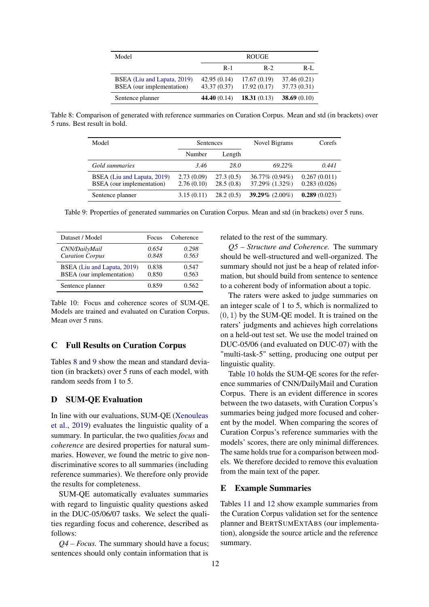<span id="page-11-1"></span>

| Model                                                    | <b>ROUGE</b>               |                            |                             |  |  |
|----------------------------------------------------------|----------------------------|----------------------------|-----------------------------|--|--|
|                                                          | $R-1$                      | $R-2$                      | $R-I.$                      |  |  |
| BSEA (Liu and Lapata, 2019)<br>BSEA (our implementation) | 42.95(0.14)<br>43.37(0.37) | 17.67(0.19)<br>17.92(0.17) | 37.46 (0.21)<br>37.73(0.31) |  |  |
| Sentence planner                                         | 44.40(0.14)                | 18.31(0.13)                | 38.69 $(0.10)$              |  |  |

<span id="page-11-2"></span>Table 8: Comparison of generated with reference summaries on Curation Corpus. Mean and std (in brackets) over 5 runs. Best result in bold.

| Model                                                    | Sentences                |                        | Novel Bigrams                    | Corefs                       |
|----------------------------------------------------------|--------------------------|------------------------|----------------------------------|------------------------------|
|                                                          | Number                   | Length                 |                                  |                              |
| Gold summaries                                           | 3.46                     | 28.0                   | 69.22%                           | 0.441                        |
| BSEA (Liu and Lapata, 2019)<br>BSEA (our implementation) | 2.73(0.09)<br>2.76(0.10) | 27.3(0.5)<br>28.5(0.8) | 36.77% (0.94%)<br>37.29% (1.32%) | 0.267(0.011)<br>0.283(0.026) |
| Sentence planner                                         | 3.15(0.11)               | 28.2(0.5)              | 39.29% $(2.00\%)$                | 0.289(0.023)                 |

Table 9: Properties of generated summaries on Curation Corpus. Mean and std (in brackets) over 5 runs.

<span id="page-11-3"></span>

| Dataset / Model             | Focus | Coherence |
|-----------------------------|-------|-----------|
| CNN/DailyMail               | 0.654 | 0.298     |
| <b>Curation Corpus</b>      | 0.848 | 0.563     |
| BSEA (Liu and Lapata, 2019) | 0.838 | 0.547     |
| BSEA (our implementation)   | 0.850 | 0.563     |
| Sentence planner            | 0.859 | 0.562     |

Table 10: Focus and coherence scores of SUM-QE. Models are trained and evaluated on Curation Corpus. Mean over 5 runs.

## <span id="page-11-0"></span>C Full Results on Curation Corpus

Tables [8](#page-11-1) and [9](#page-11-2) show the mean and standard deviation (in brackets) over 5 runs of each model, with random seeds from 1 to 5.

## D SUM-QE Evaluation

In line with our evaluations, SUM-QE [\(Xenouleas](#page-9-15) [et al.,](#page-9-15) [2019\)](#page-9-15) evaluates the linguistic quality of a summary. In particular, the two qualities *focus* and *coherence* are desired properties for natural summaries. However, we found the metric to give nondiscriminative scores to all summaries (including reference summaries). We therefore only provide the results for completeness.

SUM-QE automatically evaluates summaries with regard to linguistic quality questions asked in the DUC-05/06/07 tasks. We select the qualities regarding focus and coherence, described as follows:

*Q4 – Focus.* The summary should have a focus; sentences should only contain information that is

related to the rest of the summary.

*Q5 – Structure and Coherence.* The summary should be well-structured and well-organized. The summary should not just be a heap of related information, but should build from sentence to sentence to a coherent body of information about a topic.

The raters were asked to judge summaries on an integer scale of 1 to 5, which is normalized to  $(0, 1)$  by the SUM-OE model. It is trained on the raters' judgments and achieves high correlations on a held-out test set. We use the model trained on DUC-05/06 (and evaluated on DUC-07) with the "multi-task-5" setting, producing one output per linguistic quality.

Table [10](#page-11-3) holds the SUM-QE scores for the reference summaries of CNN/DailyMail and Curation Corpus. There is an evident difference in scores between the two datasets, with Curation Corpus's summaries being judged more focused and coherent by the model. When comparing the scores of Curation Corpus's reference summaries with the models' scores, there are only minimal differences. The same holds true for a comparison between models. We therefore decided to remove this evaluation from the main text of the paper.

### E Example Summaries

Tables [11](#page-12-0) and [12](#page-13-0) show example summaries from the Curation Corpus validation set for the sentence planner and BERTSUMEXTABS (our implementation), alongside the source article and the reference summary.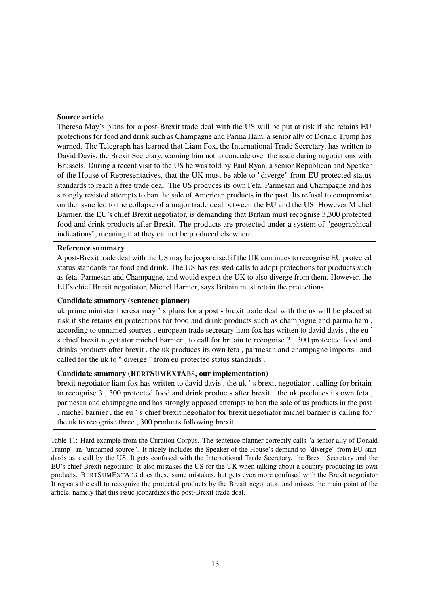### <span id="page-12-0"></span>Source article

Theresa May's plans for a post-Brexit trade deal with the US will be put at risk if she retains EU protections for food and drink such as Champagne and Parma Ham, a senior ally of Donald Trump has warned. The Telegraph has learned that Liam Fox, the International Trade Secretary, has written to David Davis, the Brexit Secretary, warning him not to concede over the issue during negotiations with Brussels. During a recent visit to the US he was told by Paul Ryan, a senior Republican and Speaker of the House of Representatives, that the UK must be able to "diverge" from EU protected status standards to reach a free trade deal. The US produces its own Feta, Parmesan and Champagne and has strongly resisted attempts to ban the sale of American products in the past. Its refusal to compromise on the issue led to the collapse of a major trade deal between the EU and the US. However Michel Barnier, the EU's chief Brexit negotiator, is demanding that Britain must recognise 3,300 protected food and drink products after Brexit. The products are protected under a system of "geographical indications", meaning that they cannot be produced elsewhere.

#### Reference summary

A post-Brexit trade deal with the US may be jeopardised if the UK continues to recognise EU protected status standards for food and drink. The US has resisted calls to adopt protections for products such as feta, Parmesan and Champagne, and would expect the UK to also diverge from them. However, the EU's chief Brexit negotiator, Michel Barnier, says Britain must retain the protections.

## Candidate summary (sentence planner)

uk prime minister theresa may ' s plans for a post - brexit trade deal with the us will be placed at risk if she retains eu protections for food and drink products such as champagne and parma ham , according to unnamed sources . european trade secretary liam fox has written to david davis , the eu ' s chief brexit negotiator michel barnier , to call for britain to recognise 3 , 300 protected food and drinks products after brexit . the uk produces its own feta , parmesan and champagne imports , and called for the uk to " diverge " from eu protected status standards .

### Candidate summary (BERTSUMEXTABS, our implementation)

brexit negotiator liam fox has written to david davis , the uk ' s brexit negotiator , calling for britain to recognise 3 , 300 protected food and drink products after brexit . the uk produces its own feta , parmesan and champagne and has strongly opposed attempts to ban the sale of us products in the past . michel barnier , the eu ' s chief brexit negotiator for brexit negotiator michel barnier is calling for the uk to recognise three , 300 products following brexit .

Table 11: Hard example from the Curation Corpus. The sentence planner correctly calls "a senior ally of Donald Trump" an "unnamed source". It nicely includes the Speaker of the House's demand to "diverge" from EU standards as a call by the US. It gets confused with the International Trade Secretary, the Brexit Secretary and the EU's chief Brexit negotiator. It also mistakes the US for the UK when talking about a country producing its own products. BERTSUMEXTABS does these same mistakes, but gets even more confused with the Brexit negotiator. It repeats the call to recognize the protected products by the Brexit negotiator, and misses the main point of the article, namely that this issue jeopardizes the post-Brexit trade deal.